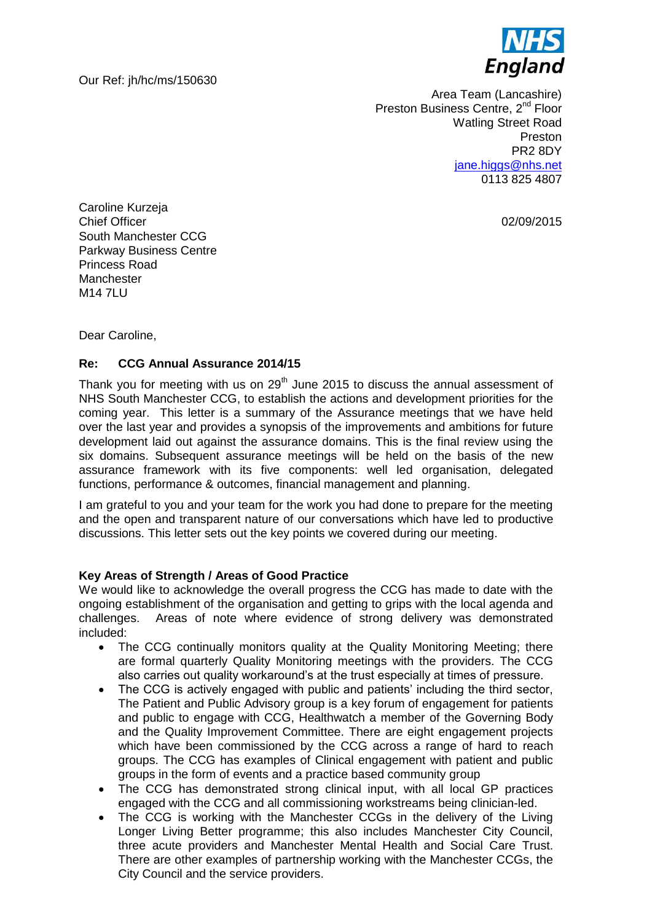Our Ref: jh/hc/ms/150630



Area Team (Lancashire) Preston Business Centre, 2<sup>nd</sup> Floor Watling Street Road Preston PR2 8DY iane.higgs@nhs.net 0113 825 4807

02/09/2015

Caroline Kurzeja Chief Officer South Manchester CCG Parkway Business Centre Princess Road **Manchester** M14 7LU

Dear Caroline,

## **Re: CCG Annual Assurance 2014/15**

Thank you for meeting with us on  $29<sup>th</sup>$  June 2015 to discuss the annual assessment of NHS South Manchester CCG, to establish the actions and development priorities for the coming year. This letter is a summary of the Assurance meetings that we have held over the last year and provides a synopsis of the improvements and ambitions for future development laid out against the assurance domains. This is the final review using the six domains. Subsequent assurance meetings will be held on the basis of the new assurance framework with its five components: well led organisation, delegated functions, performance & outcomes, financial management and planning.

I am grateful to you and your team for the work you had done to prepare for the meeting and the open and transparent nature of our conversations which have led to productive discussions. This letter sets out the key points we covered during our meeting.

### **Key Areas of Strength / Areas of Good Practice**

We would like to acknowledge the overall progress the CCG has made to date with the ongoing establishment of the organisation and getting to grips with the local agenda and challenges. Areas of note where evidence of strong delivery was demonstrated included:

- The CCG continually monitors quality at the Quality Monitoring Meeting; there are formal quarterly Quality Monitoring meetings with the providers. The CCG also carries out quality workaround's at the trust especially at times of pressure.
- The CCG is actively engaged with public and patients' including the third sector, The Patient and Public Advisory group is a key forum of engagement for patients and public to engage with CCG, Healthwatch a member of the Governing Body and the Quality Improvement Committee. There are eight engagement projects which have been commissioned by the CCG across a range of hard to reach groups. The CCG has examples of Clinical engagement with patient and public groups in the form of events and a practice based community group
- The CCG has demonstrated strong clinical input, with all local GP practices engaged with the CCG and all commissioning workstreams being clinician-led.
- The CCG is working with the Manchester CCGs in the delivery of the Living Longer Living Better programme; this also includes Manchester City Council, three acute providers and Manchester Mental Health and Social Care Trust. There are other examples of partnership working with the Manchester CCGs, the City Council and the service providers.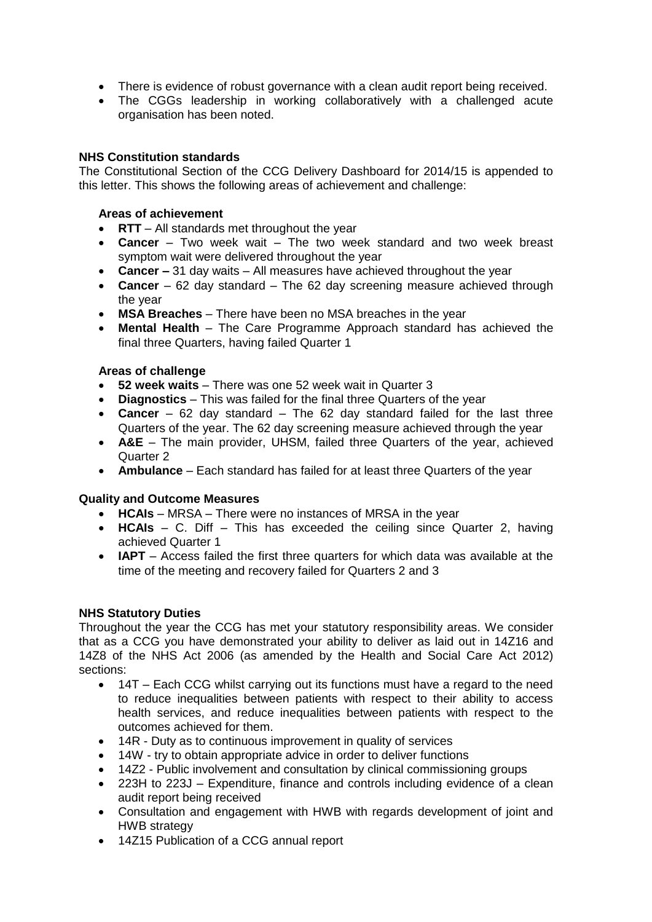- There is evidence of robust governance with a clean audit report being received.
- The CGGs leadership in working collaboratively with a challenged acute organisation has been noted.

## **NHS Constitution standards**

The Constitutional Section of the CCG Delivery Dashboard for 2014/15 is appended to this letter. This shows the following areas of achievement and challenge:

### **Areas of achievement**

- **RTT** All standards met throughout the year
- **Cancer**  Two week wait The two week standard and two week breast symptom wait were delivered throughout the year
- **Cancer –** 31 day waits All measures have achieved throughout the year
- **Cancer**  62 day standard The 62 day screening measure achieved through the year
- **MSA Breaches** There have been no MSA breaches in the year
- **Mental Health** The Care Programme Approach standard has achieved the final three Quarters, having failed Quarter 1

### **Areas of challenge**

- **52 week waits** There was one 52 week wait in Quarter 3
- **Diagnostics**  This was failed for the final three Quarters of the year
- **Cancer**  62 day standard The 62 day standard failed for the last three Quarters of the year. The 62 day screening measure achieved through the year
- **A&E**  The main provider, UHSM, failed three Quarters of the year, achieved Quarter 2
- **Ambulance** Each standard has failed for at least three Quarters of the year

### **Quality and Outcome Measures**

- **HCAIs** MRSA There were no instances of MRSA in the year
- **HCAIs**  C. Diff This has exceeded the ceiling since Quarter 2, having achieved Quarter 1
- **IAPT**  Access failed the first three quarters for which data was available at the time of the meeting and recovery failed for Quarters 2 and 3

### **NHS Statutory Duties**

Throughout the year the CCG has met your statutory responsibility areas. We consider that as a CCG you have demonstrated your ability to deliver as laid out in 14Z16 and 14Z8 of the NHS Act 2006 (as amended by the Health and Social Care Act 2012) sections:

- 14T Each CCG whilst carrying out its functions must have a regard to the need to reduce inequalities between patients with respect to their ability to access health services, and reduce inequalities between patients with respect to the outcomes achieved for them.
- 14R Duty as to continuous improvement in quality of services
- 14W try to obtain appropriate advice in order to deliver functions
- 14Z2 Public involvement and consultation by clinical commissioning groups
- 223H to 223J Expenditure, finance and controls including evidence of a clean audit report being received
- Consultation and engagement with HWB with regards development of joint and HWB strategy
- 14Z15 Publication of a CCG annual report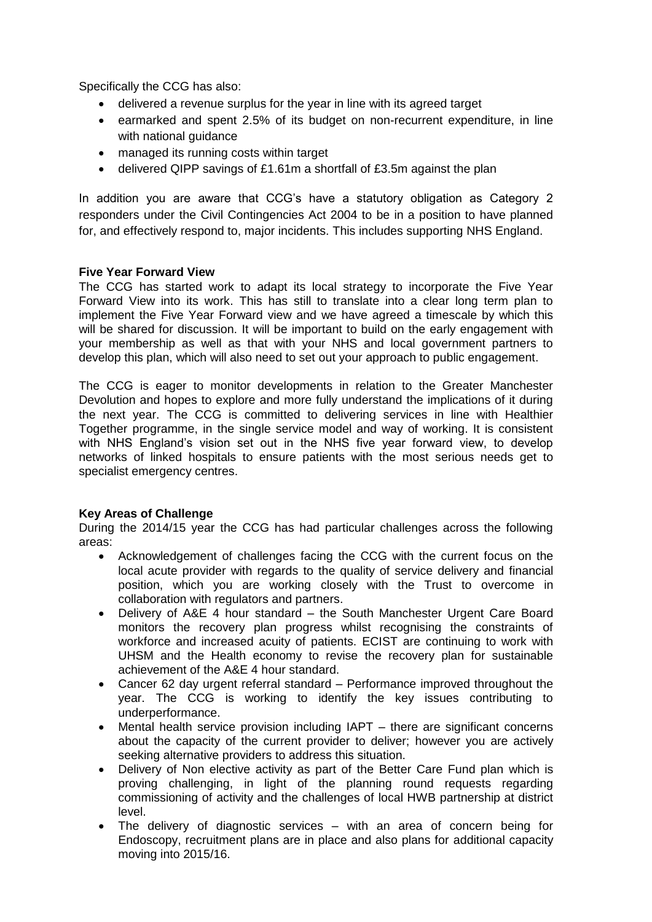Specifically the CCG has also:

- delivered a revenue surplus for the year in line with its agreed target
- earmarked and spent 2.5% of its budget on non-recurrent expenditure, in line with national guidance
- managed its running costs within target
- delivered QIPP savings of £1.61m a shortfall of £3.5m against the plan

In addition you are aware that CCG's have a statutory obligation as Category 2 responders under the Civil Contingencies Act 2004 to be in a position to have planned for, and effectively respond to, major incidents. This includes supporting NHS England.

#### **Five Year Forward View**

The CCG has started work to adapt its local strategy to incorporate the Five Year Forward View into its work. This has still to translate into a clear long term plan to implement the Five Year Forward view and we have agreed a timescale by which this will be shared for discussion. It will be important to build on the early engagement with your membership as well as that with your NHS and local government partners to develop this plan, which will also need to set out your approach to public engagement.

The CCG is eager to monitor developments in relation to the Greater Manchester Devolution and hopes to explore and more fully understand the implications of it during the next year. The CCG is committed to delivering services in line with Healthier Together programme, in the single service model and way of working. It is consistent with NHS England's vision set out in the NHS five year forward view, to develop networks of linked hospitals to ensure patients with the most serious needs get to specialist emergency centres.

### **Key Areas of Challenge**

During the 2014/15 year the CCG has had particular challenges across the following areas:

- Acknowledgement of challenges facing the CCG with the current focus on the local acute provider with regards to the quality of service delivery and financial position, which you are working closely with the Trust to overcome in collaboration with regulators and partners.
- Delivery of A&E 4 hour standard the South Manchester Urgent Care Board monitors the recovery plan progress whilst recognising the constraints of workforce and increased acuity of patients. ECIST are continuing to work with UHSM and the Health economy to revise the recovery plan for sustainable achievement of the A&E 4 hour standard.
- Cancer 62 day urgent referral standard Performance improved throughout the year. The CCG is working to identify the key issues contributing to underperformance.
- Mental health service provision including IAPT there are significant concerns about the capacity of the current provider to deliver; however you are actively seeking alternative providers to address this situation.
- Delivery of Non elective activity as part of the Better Care Fund plan which is proving challenging, in light of the planning round requests regarding commissioning of activity and the challenges of local HWB partnership at district level.
- The delivery of diagnostic services with an area of concern being for Endoscopy, recruitment plans are in place and also plans for additional capacity moving into 2015/16.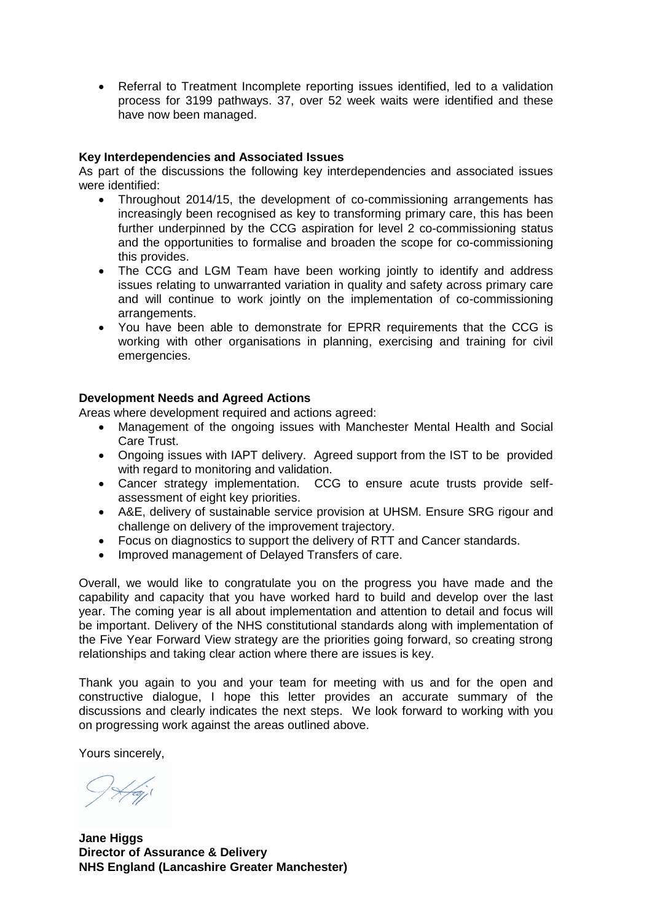Referral to Treatment Incomplete reporting issues identified, led to a validation process for 3199 pathways. 37, over 52 week waits were identified and these have now been managed.

## **Key Interdependencies and Associated Issues**

As part of the discussions the following key interdependencies and associated issues were identified:

- Throughout 2014/15, the development of co-commissioning arrangements has increasingly been recognised as key to transforming primary care, this has been further underpinned by the CCG aspiration for level 2 co-commissioning status and the opportunities to formalise and broaden the scope for co-commissioning this provides.
- The CCG and LGM Team have been working jointly to identify and address issues relating to unwarranted variation in quality and safety across primary care and will continue to work jointly on the implementation of co-commissioning arrangements.
- You have been able to demonstrate for EPRR requirements that the CCG is working with other organisations in planning, exercising and training for civil emergencies.

### **Development Needs and Agreed Actions**

Areas where development required and actions agreed:

- Management of the ongoing issues with Manchester Mental Health and Social Care Trust.
- Ongoing issues with IAPT delivery. Agreed support from the IST to be provided with regard to monitoring and validation.
- Cancer strategy implementation. CCG to ensure acute trusts provide selfassessment of eight key priorities.
- A&E, delivery of sustainable service provision at UHSM. Ensure SRG rigour and challenge on delivery of the improvement trajectory.
- Focus on diagnostics to support the delivery of RTT and Cancer standards.
- Improved management of Delayed Transfers of care.

Overall, we would like to congratulate you on the progress you have made and the capability and capacity that you have worked hard to build and develop over the last year. The coming year is all about implementation and attention to detail and focus will be important. Delivery of the NHS constitutional standards along with implementation of the Five Year Forward View strategy are the priorities going forward, so creating strong relationships and taking clear action where there are issues is key.

Thank you again to you and your team for meeting with us and for the open and constructive dialogue, I hope this letter provides an accurate summary of the discussions and clearly indicates the next steps. We look forward to working with you on progressing work against the areas outlined above.

Yours sincerely,

**Jane Higgs Director of Assurance & Delivery NHS England (Lancashire Greater Manchester)**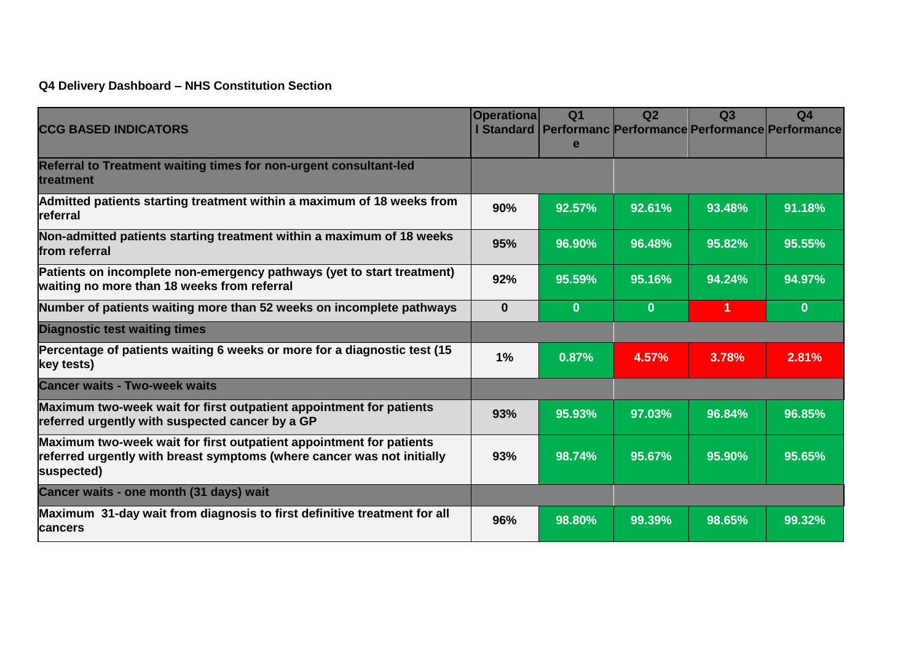**Q4 Delivery Dashboard – NHS Constitution Section**

| <b>CCG BASED INDICATORS</b>                                                                                                                                 | <b>Operationa</b> | Q <sub>1</sub><br>e | Q <sub>2</sub> | Q3             | Q <sub>4</sub><br>l Standard   Performanc Performance Performance Performance |
|-------------------------------------------------------------------------------------------------------------------------------------------------------------|-------------------|---------------------|----------------|----------------|-------------------------------------------------------------------------------|
| Referral to Treatment waiting times for non-urgent consultant-led<br>treatment                                                                              |                   |                     |                |                |                                                                               |
| Admitted patients starting treatment within a maximum of 18 weeks from<br>referral                                                                          | 90%               | 92.57%              | 92.61%         | 93.48%         | 91.18%                                                                        |
| Non-admitted patients starting treatment within a maximum of 18 weeks<br>from referral                                                                      |                   | 96.90%              | 96.48%         | 95.82%         | 95.55%                                                                        |
| Patients on incomplete non-emergency pathways (yet to start treatment)<br>waiting no more than 18 weeks from referral                                       | 92%               | 95.59%              | 95.16%         | 94.24%         | 94.97%                                                                        |
| Number of patients waiting more than 52 weeks on incomplete pathways                                                                                        |                   | $\mathbf{0}$        | $\mathbf{0}$   | $\overline{1}$ | $\bf{0}$                                                                      |
| <b>Diagnostic test waiting times</b>                                                                                                                        |                   |                     |                |                |                                                                               |
| Percentage of patients waiting 6 weeks or more for a diagnostic test (15<br>key tests)                                                                      |                   | 0.87%               | 4.57%          | 3.78%          | 2.81%                                                                         |
| <b>Cancer waits - Two-week waits</b>                                                                                                                        |                   |                     |                |                |                                                                               |
| Maximum two-week wait for first outpatient appointment for patients<br>referred urgently with suspected cancer by a GP                                      |                   | 95.93%              | 97.03%         | 96.84%         | 96.85%                                                                        |
| Maximum two-week wait for first outpatient appointment for patients<br>referred urgently with breast symptoms (where cancer was not initially<br>suspected) |                   | 98.74%              | 95.67%         | 95.90%         | 95.65%                                                                        |
| Cancer waits - one month (31 days) wait                                                                                                                     |                   |                     |                |                |                                                                               |
| Maximum 31-day wait from diagnosis to first definitive treatment for all<br>cancers                                                                         | 96%               | 98.80%              | 99.39%         | 98.65%         | 99.32%                                                                        |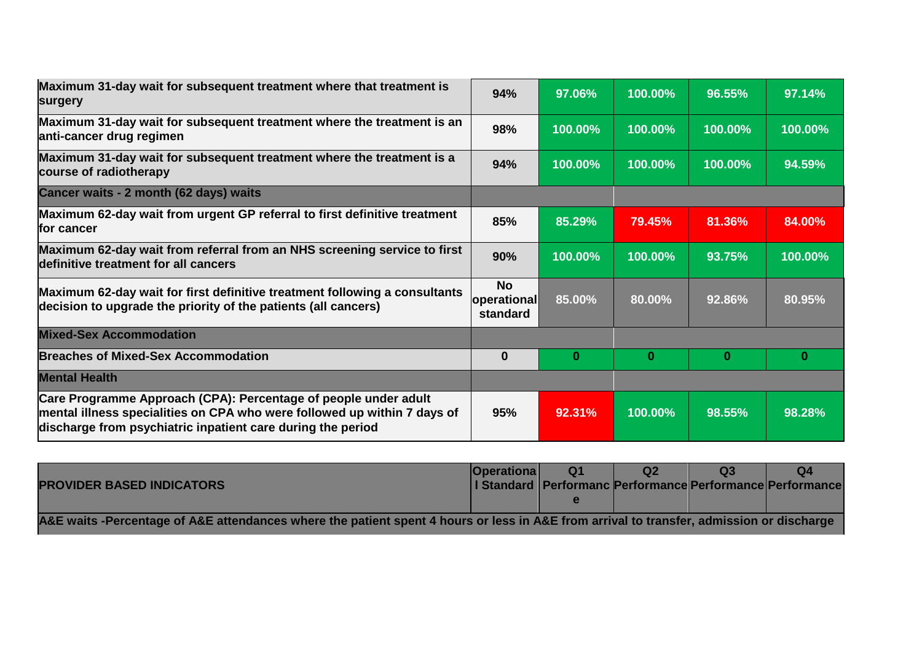| Maximum 31-day wait for subsequent treatment where that treatment is<br>surgery                                                                                                                            | 94%         | 97.06%                | 100.00%    | 96.55%   | 97.14%   |
|------------------------------------------------------------------------------------------------------------------------------------------------------------------------------------------------------------|-------------|-----------------------|------------|----------|----------|
| Maximum 31-day wait for subsequent treatment where the treatment is an<br>anti-cancer drug regimen                                                                                                         | 98%         | 100.00%               | $100.00\%$ | 100.00%  | 100.00%  |
| Maximum 31-day wait for subsequent treatment where the treatment is a<br>course of radiotherapy                                                                                                            | 94%         | 100.00%               | 100.00%    | 100.00%  | 94.59%   |
| Cancer waits - 2 month (62 days) waits                                                                                                                                                                     |             |                       |            |          |          |
| Maximum 62-day wait from urgent GP referral to first definitive treatment<br>for cancer                                                                                                                    | 85%         | 85.29%                | 79.45%     | 81.36%   | 84.00%   |
| Maximum 62-day wait from referral from an NHS screening service to first<br>definitive treatment for all cancers                                                                                           |             | 100.00%               | 100.00%    | 93.75%   | 100.00%  |
| Maximum 62-day wait for first definitive treatment following a consultants<br>decision to upgrade the priority of the patients (all cancers)                                                               |             | 85.00%<br>operational | 80.00%     | 92.86%   | 80.95%   |
| <b>Mixed-Sex Accommodation</b>                                                                                                                                                                             |             |                       |            |          |          |
| <b>Breaches of Mixed-Sex Accommodation</b>                                                                                                                                                                 | $\mathbf 0$ | 0                     | $\bf{0}$   | $\bf{0}$ | $\bf{0}$ |
| <b>Mental Health</b>                                                                                                                                                                                       |             |                       |            |          |          |
| Care Programme Approach (CPA): Percentage of people under adult<br>mental illness specialities on CPA who were followed up within 7 days of<br>discharge from psychiatric inpatient care during the period | 95%         | 92.31%                | 100.00%    | 98.55%   | 98.28%   |

|                                                                                                                                          | <b>Operational</b> | <b>Q1</b> |  |  |                                                             |  |  |
|------------------------------------------------------------------------------------------------------------------------------------------|--------------------|-----------|--|--|-------------------------------------------------------------|--|--|
| <b>PROVIDER BASED INDICATORS</b>                                                                                                         |                    |           |  |  | Standard   Performanc Performance Performance   Performance |  |  |
|                                                                                                                                          |                    |           |  |  |                                                             |  |  |
| A&E waits -Percentage of A&E attendances where the patient spent 4 hours or less in A&E from arrival to transfer, admission or discharge |                    |           |  |  |                                                             |  |  |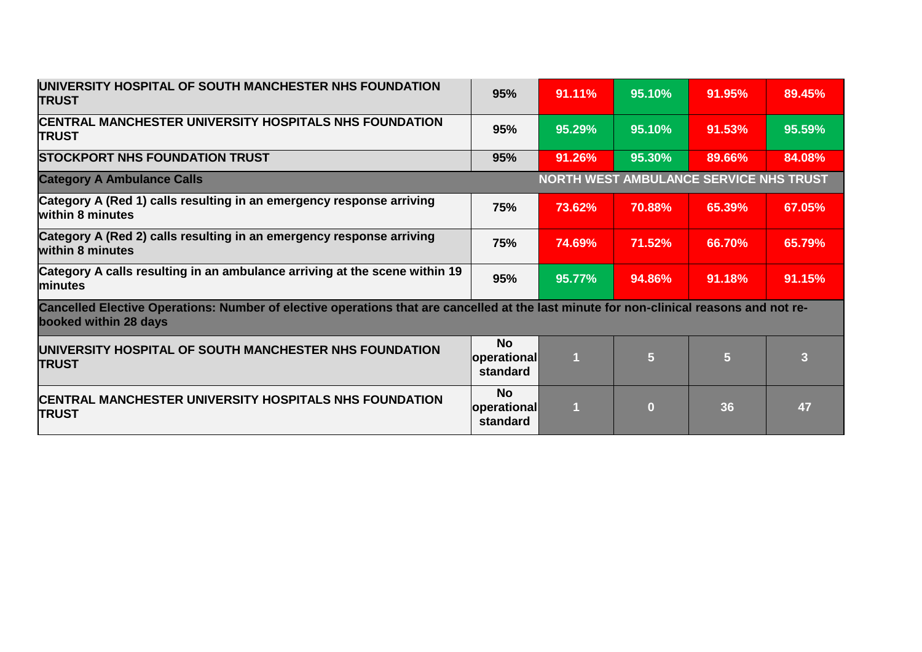| UNIVERSITY HOSPITAL OF SOUTH MANCHESTER NHS FOUNDATION<br><b>TRUST</b>                                                                                           | 95%                                         | 91.11% | 95.10%            | 91.95%                                 | 89.45% |
|------------------------------------------------------------------------------------------------------------------------------------------------------------------|---------------------------------------------|--------|-------------------|----------------------------------------|--------|
| <b>CENTRAL MANCHESTER UNIVERSITY HOSPITALS NHS FOUNDATION</b><br><b>TRUST</b>                                                                                    |                                             | 95.29% | 95.10%            | 91.53%                                 | 95.59% |
| <b>STOCKPORT NHS FOUNDATION TRUST</b>                                                                                                                            | 95%                                         | 91.26% | 95.30%            | 89.66%                                 | 84.08% |
| <b>Category A Ambulance Calls</b>                                                                                                                                |                                             |        |                   | NORTH WEST AMBULANCE SERVICE NHS TRUST |        |
| Category A (Red 1) calls resulting in an emergency response arriving<br>within 8 minutes                                                                         | 75%                                         | 73.62% | 70.88%            | 65.39%                                 | 67.05% |
| Category A (Red 2) calls resulting in an emergency response arriving<br>within 8 minutes                                                                         |                                             | 74.69% | 71.52%            | 66.70%                                 | 65.79% |
| Category A calls resulting in an ambulance arriving at the scene within 19<br>minutes                                                                            | 95%                                         | 95.77% | 94.86%            | 91.18%                                 | 91.15% |
| Cancelled Elective Operations: Number of elective operations that are cancelled at the last minute for non-clinical reasons and not re-<br>booked within 28 days |                                             |        |                   |                                        |        |
| UNIVERSITY HOSPITAL OF SOUTH MANCHESTER NHS FOUNDATION<br><b>TRUST</b>                                                                                           | <b>No</b><br><b>operational</b><br>standard | 1      | 5                 | 5                                      | З      |
| <b>CENTRAL MANCHESTER UNIVERSITY HOSPITALS NHS FOUNDATION</b><br><b>TRUST</b>                                                                                    | <b>No</b><br>operational<br>standard        | ٢L     | $\left( 0\right)$ | 36                                     | 47     |